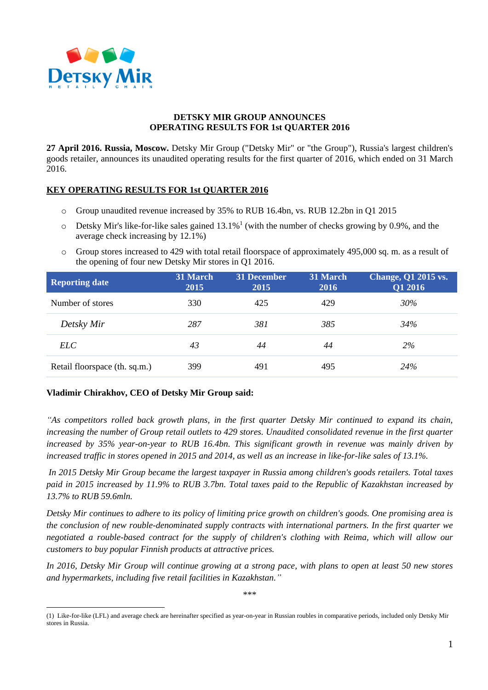

## **DETSKY MIR GROUP ANNOUNCES OPERATING RESULTS FOR 1st QUARTER 2016**

**27 April 2016. Russia, Moscow.** Detsky Mir Group ("Detsky Mir" or "the Group"), Russia's largest children's goods retailer, announces its unaudited operating results for the first quarter of 2016, which ended on 31 March 2016.

## **KEY OPERATING RESULTS FOR 1st QUARTER 2016**

- o Group unaudited revenue increased by 35% to RUB 16.4bn, vs. RUB 12.2bn in Q1 2015
- $\circ$  Detsky Mir's like-for-like sales gained 13.1%<sup>1</sup> (with the number of checks growing by 0.9%, and the average check increasing by 12.1%)
- o Group stores increased to 429 with total retail floorspace of approximately 495,000 sq. m. as a result of the opening of four new Detsky Mir stores in Q1 2016.

| <b>Reporting date</b>         | 31 March<br>2015 | 31 December<br>2015 | 31 March<br><b>2016</b> | <b>Change, Q1 2015 vs.</b><br>Q1 2016 |
|-------------------------------|------------------|---------------------|-------------------------|---------------------------------------|
| Number of stores              | 330              | 425                 | 429                     | 30%                                   |
| Detsky Mir                    | 287              | 381                 | 385                     | 34%                                   |
| <i>ELC</i>                    | 43               | 44                  | 44                      | $2\%$                                 |
| Retail floorspace (th. sq.m.) | 399              | 491                 | 495                     | 24%                                   |

## **Vladimir Chirakhov, CEO of Detsky Mir Group said:**

*"As competitors rolled back growth plans, in the first quarter Detsky Mir continued to expand its chain, increasing the number of Group retail outlets to 429 stores. Unaudited consolidated revenue in the first quarter increased by 35% year-on-year to RUB 16.4bn. This significant growth in revenue was mainly driven by increased traffic in stores opened in 2015 and 2014, as well as an increase in like-for-like sales of 13.1%.*

*In 2015 Detsky Mir Group became the largest taxpayer in Russia among children's goods retailers. Total taxes paid in 2015 increased by 11.9% to RUB 3.7bn. Total taxes paid to the Republic of Kazakhstan increased by 13.7% to RUB 59.6mln.*

*Detsky Mir continues to adhere to its policy of limiting price growth on children's goods. One promising area is the conclusion of new rouble-denominated supply contracts with international partners. In the first quarter we negotiated a rouble-based contract for the supply of children's clothing with Reima, which will allow our customers to buy popular Finnish products at attractive prices.*

*In 2016, Detsky Mir Group will continue growing at a strong pace, with plans to open at least 50 new stores and hypermarkets, including five retail facilities in Kazakhstan."*

<sup>\*\*\*</sup>

 $\overline{a}$ (1) Like-for-like (LFL) and average check are hereinafter specified as year-on-year in Russian roubles in comparative periods, included only Detsky Mir stores in Russia.